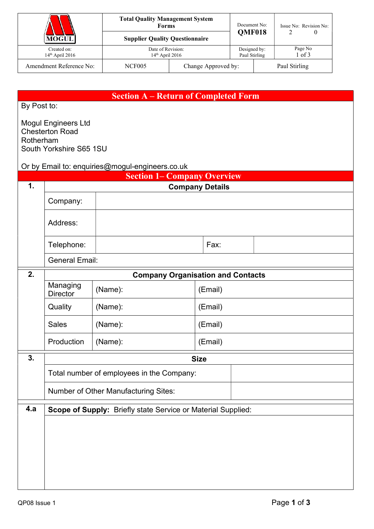|                                  | <b>Total Quality Management System</b><br><b>Forms</b> |                     | Document No:                  |               | Issue No: Revision No: |  |
|----------------------------------|--------------------------------------------------------|---------------------|-------------------------------|---------------|------------------------|--|
| <b>MOGUL</b>                     | <b>Supplier Quality Questionnaire</b>                  |                     | <b>OMF018</b>                 |               |                        |  |
| Created on:<br>$14th$ April 2016 | Date of Revision:<br>$14th$ April 2016                 |                     | Designed by:<br>Paul Stirling |               | Page No<br>log 3       |  |
| Amendment Reference No:          | <b>NCF005</b>                                          | Change Approved by: |                               | Paul Stirling |                        |  |

## Section A – Return of Completed Form

By Post to:

Mogul Engineers Ltd Chesterton Road Rotherham South Yorkshire S65 1SU

Or by Email to: enquiries@mogul-engineers.co.uk

|                  |                                                              | amoo@mogar ongmooro.co.am<br><b>Section 1– Company Overview</b> |         |  |  |  |  |  |
|------------------|--------------------------------------------------------------|-----------------------------------------------------------------|---------|--|--|--|--|--|
| 1.               | <b>Company Details</b>                                       |                                                                 |         |  |  |  |  |  |
|                  | Company:                                                     |                                                                 |         |  |  |  |  |  |
|                  | Address:                                                     |                                                                 |         |  |  |  |  |  |
|                  | Telephone:                                                   |                                                                 | Fax:    |  |  |  |  |  |
|                  | <b>General Email:</b>                                        |                                                                 |         |  |  |  |  |  |
| 2.               | <b>Company Organisation and Contacts</b>                     |                                                                 |         |  |  |  |  |  |
|                  | Managing<br><b>Director</b>                                  | (Name):                                                         | (Email) |  |  |  |  |  |
|                  | Quality                                                      | (Name):                                                         | (Email) |  |  |  |  |  |
|                  | <b>Sales</b>                                                 | (Name):                                                         | (Email) |  |  |  |  |  |
|                  | Production                                                   | (Name):                                                         | (Email) |  |  |  |  |  |
| $\overline{3}$ . | <b>Size</b>                                                  |                                                                 |         |  |  |  |  |  |
|                  | Total number of employees in the Company:                    |                                                                 |         |  |  |  |  |  |
|                  | Number of Other Manufacturing Sites:                         |                                                                 |         |  |  |  |  |  |
| 4.a              | Scope of Supply: Briefly state Service or Material Supplied: |                                                                 |         |  |  |  |  |  |
|                  |                                                              |                                                                 |         |  |  |  |  |  |
|                  |                                                              |                                                                 |         |  |  |  |  |  |
|                  |                                                              |                                                                 |         |  |  |  |  |  |
|                  |                                                              |                                                                 |         |  |  |  |  |  |
|                  |                                                              |                                                                 |         |  |  |  |  |  |
|                  |                                                              |                                                                 |         |  |  |  |  |  |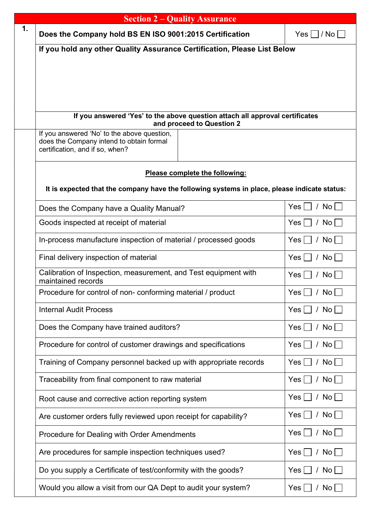| <b>Section 2 – Quality Assurance</b>                                                                                       |                              |  |  |  |  |  |
|----------------------------------------------------------------------------------------------------------------------------|------------------------------|--|--|--|--|--|
| Does the Company hold BS EN ISO 9001:2015 Certification                                                                    | $Yes \mid  /No $             |  |  |  |  |  |
| If you hold any other Quality Assurance Certification, Please List Below                                                   |                              |  |  |  |  |  |
|                                                                                                                            |                              |  |  |  |  |  |
|                                                                                                                            |                              |  |  |  |  |  |
|                                                                                                                            |                              |  |  |  |  |  |
| If you answered 'Yes' to the above question attach all approval certificates<br>and proceed to Question 2                  |                              |  |  |  |  |  |
| If you answered 'No' to the above question,<br>does the Company intend to obtain formal<br>certification, and if so, when? |                              |  |  |  |  |  |
| Please complete the following:                                                                                             |                              |  |  |  |  |  |
| It is expected that the company have the following systems in place, please indicate status:                               |                              |  |  |  |  |  |
| Does the Company have a Quality Manual?                                                                                    | / $\mathsf{No}$<br>Yes       |  |  |  |  |  |
| Goods inspected at receipt of material                                                                                     | / No $\vert$<br>Yes          |  |  |  |  |  |
| In-process manufacture inspection of material / processed goods                                                            | Yes<br>No                    |  |  |  |  |  |
| Final delivery inspection of material                                                                                      | Yes<br>No  <br>$\prime$      |  |  |  |  |  |
| Calibration of Inspection, measurement, and Test equipment with<br>maintained records                                      | / No $\vert$<br>Yes          |  |  |  |  |  |
| Procedure for control of non-conforming material / product                                                                 | Yes<br>No                    |  |  |  |  |  |
| <b>Internal Audit Process</b>                                                                                              | / No $\vert$<br>Yes          |  |  |  |  |  |
| Does the Company have trained auditors?                                                                                    | / No $\vert$<br>Yes          |  |  |  |  |  |
| Procedure for control of customer drawings and specifications                                                              | / No $\vert$<br>Yes          |  |  |  |  |  |
| Training of Company personnel backed up with appropriate records                                                           | / No $\vert$<br>Yes          |  |  |  |  |  |
| Traceability from final component to raw material                                                                          | Yes<br>/ No $\vert$          |  |  |  |  |  |
| Root cause and corrective action reporting system                                                                          | / No $\vert$<br>Yes          |  |  |  |  |  |
| Are customer orders fully reviewed upon receipt for capability?                                                            | / No  <br>Yes                |  |  |  |  |  |
| Procedure for Dealing with Order Amendments                                                                                | / No $\vert$<br>Yes          |  |  |  |  |  |
| Are procedures for sample inspection techniques used?                                                                      | $\mathsf{No} \models$<br>Yes |  |  |  |  |  |
| Do you supply a Certificate of test/conformity with the goods?                                                             | No <sub>1</sub><br>Yes       |  |  |  |  |  |
| Would you allow a visit from our QA Dept to audit your system?                                                             | / No $ $<br>Yes              |  |  |  |  |  |